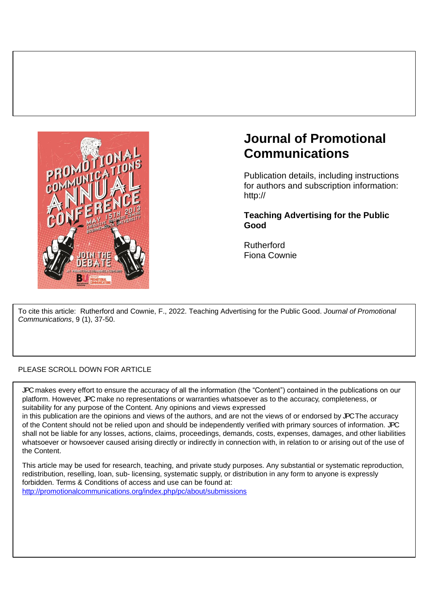

# **Journal of Promotional Communications**

Publication details, including instructions for authors and subscription information: http://

**Teaching Advertising for the Public Good**

Rutherford Fiona Cownie

To cite this article: Rutherford and Cownie, F., 2022. Teaching Advertising for the Public Good. *Journal of Promotional Communications*, 9 (1), 37-50.

#### PLEASE SCROLL DOWN FOR ARTICLE

JPC makes every effort to ensure the accuracy of all the information (the "Content") contained in the publications on our platform. However, JPC make no representations or warranties whatsoever as to the accuracy, completeness, or suitability for any purpose of the Content. Any opinions and views expressed in this publication are the opinions and views of the authors, and are not the views of or endorsed by JPC The accuracy of the Content should not be relied upon and should be independently verified with primary sources of information. JPC

shall not be liable for any losses, actions, claims, proceedings, demands, costs, expenses, damages, and other liabilities whatsoever or howsoever caused arising directly or indirectly in connection with, in relation to or arising out of the use of the Content.

This article may be used for research, teaching, and private study purposes. Any substantial or systematic reproduction, redistribution, reselling, loan, sub- licensing, systematic supply, or distribution in any form to anyone is expressly forbidden. Terms & Conditions of access and use can be found at: http://promotionalcommunications.org/index.php/pc/about/submissions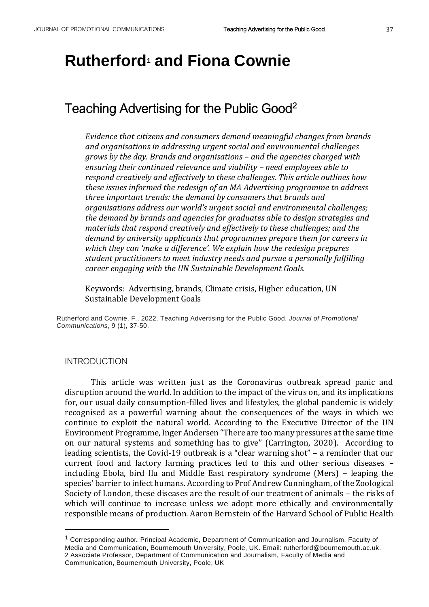# **Rutherford<sup>1</sup> and Fiona Cownie**

# Teaching Advertising for the Public Good<sup>2</sup>

*Evidence that citizens and consumers demand meaningful changes from brands and organisations in addressing urgent social and environmental challenges grows by the day. Brands and organisations – and the agencies charged with ensuring their continued relevance and viability – need employees able to respond creatively and effectively to these challenges. This article outlines how these issues informed the redesign of an MA Advertising programme to address three important trends: the demand by consumers that brands and organisations address our world's urgent social and environmental challenges; the demand by brands and agencies for graduates able to design strategies and materials that respond creatively and effectively to these challenges; and the demand by university applicants that programmes prepare them for careers in which they can 'make a difference'. We explain how the redesign prepares student practitioners to meet industry needs and pursue a personally fulfilling career engaging with the UN Sustainable Development Goals.*

Keywords: Advertising, brands, Climate crisis, Higher education, UN Sustainable Development Goals

Rutherford and Cownie, F., 2022. Teaching Advertising for the Public Good. *Journal of Promotional Communications*, 9 (1), 37-50.

# INTRODUCTION

This article was written just as the Coronavirus outbreak spread panic and disruption around the world. In addition to the impact of the virus on, and its implications for, our usual daily consumption-filled lives and lifestyles, the global pandemic is widely recognised as a powerful warning about the consequences of the ways in which we continue to exploit the natural world. According to the Executive Director of the UN Environment Programme, Inger Andersen "There are too many pressures at the same time on our natural systems and something has to give" (Carrington, 2020). According to leading scientists, the Covid-19 outbreak is a "clear warning shot" – a reminder that our current food and factory farming practices led to this and other serious diseases – including Ebola, bird flu and Middle East respiratory syndrome (Mers) – leaping the species' barrier to infect humans. According to Prof Andrew Cunningham, of the Zoological Society of London, these diseases are the result of our treatment of animals – the risks of which will continue to increase unless we adopt more ethically and environmentally responsible means of production. Aaron Bernstein of the Harvard School of Public Health

 $1$  Corresponding author. Principal Academic, Department of Communication and Journalism, Faculty of Media and Communication, Bournemouth University, Poole, UK. Email: rutherford@bournemouth.ac.uk. 2 Associate Professor, Department of Communication and Journalism, Faculty of Media and Communication, Bournemouth University, Poole, UK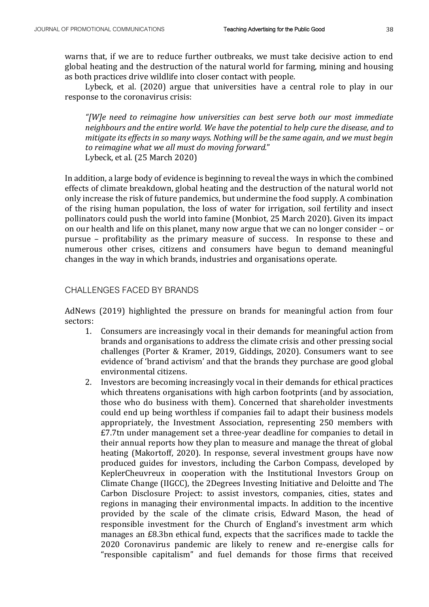warns that, if we are to reduce further outbreaks, we must take decisive action to end global heating and the destruction of the natural world for farming, mining and housing as both practices drive wildlife into closer contact with people.

Lybeck, et al. (2020) argue that universities have a central role to play in our response to the coronavirus crisis:

*"[W]e need to reimagine how universities can best serve both our most immediate neighbours and the entire world. We have the potential to help cure the disease, and to mitigate its effects in so many ways. Nothing will be the same again, and we must begin to reimagine what we all must do moving forward.*" Lybeck, et al. (25 March 2020)

In addition, a large body of evidence is beginning to reveal the ways in which the combined effects of climate breakdown, global heating and the destruction of the natural world not only increase the risk of future pandemics, but undermine the food supply. A combination of the rising human population, the loss of water for irrigation, soil fertility and insect pollinators could push the world into famine (Monbiot, 25 March 2020). Given its impact on our health and life on this planet, many now argue that we can no longer consider – or pursue – profitability as the primary measure of success. In response to these and numerous other crises, citizens and consumers have begun to demand meaningful changes in the way in which brands, industries and organisations operate.

## CHALLENGES FACED BY BRANDS

AdNews (2019) highlighted the pressure on brands for meaningful action from four sectors:

- 1. Consumers are increasingly vocal in their demands for meaningful action from brands and organisations to address the climate crisis and other pressing social challenges (Porter & Kramer, 2019, Giddings, 2020). Consumers want to see evidence of 'brand activism' and that the brands they purchase are good global environmental citizens.
- 2. Investors are becoming increasingly vocal in their demands for ethical practices which threatens organisations with high carbon footprints (and by association, those who do business with them). Concerned that shareholder investments could end up being worthless if companies fail to adapt their business models appropriately, the Investment Association, representing 250 members with £7.7tn under management set a three-year deadline for companies to detail in their annual reports how they plan to measure and manage the threat of global heating (Makortoff, 2020). In response, several investment groups have now produced guides for investors, including the Carbon Compass, developed by KeplerCheuvreux in cooperation with the Institutional Investors Group on Climate Change (IIGCC), the 2Degrees Investing Initiative and Deloitte and The Carbon Disclosure Project: to assist investors, companies, cities, states and regions in managing their environmental impacts. In addition to the incentive provided by the scale of the climate crisis, Edward Mason, the head of responsible investment for the Church of England's investment arm which manages an £8.3bn ethical fund, expects that the sacrifices made to tackle the 2020 Coronavirus pandemic are likely to renew and re-energise calls for "responsible capitalism" and fuel demands for those firms that received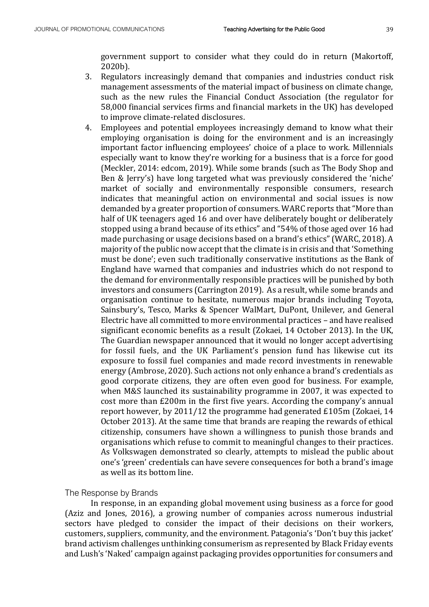government support to consider what they could do in return (Makortoff, 2020b).

- 3. Regulators increasingly demand that companies and industries conduct risk management assessments of the material impact of business on climate change, such as the new rules the Financial Conduct Association (the regulator for 58,000 financial services firms and financial markets in the UK) has developed to improve climate-related disclosures.
- 4. Employees and potential employees increasingly demand to know what their employing organisation is doing for the environment and is an increasingly important factor influencing employees' choice of a place to work. Millennials especially want to know they're working for a business that is a force for good (Meckler, 2014: edcom, 2019). While some brands (such as The Body Shop and Ben & Jerry's) have long targeted what was previously considered the 'niche' market of socially and environmentally responsible consumers, research indicates that meaningful action on environmental and social issues is now demanded by a greater proportion of consumers. WARC reports that "More than half of UK teenagers aged 16 and over have deliberately bought or deliberately stopped using a brand because of its ethics" and "54% of those aged over 16 had made purchasing or usage decisions based on a brand's ethics" (WARC, 2018). A majority of the public now accept that the climate is in crisis and that 'Something must be done'; even such traditionally conservative institutions as the Bank of England have warned that companies and industries which do not respond to the demand for environmentally responsible practices will be punished by both investors and consumers (Carrington 2019). As a result, while some brands and organisation continue to hesitate, numerous major brands including Toyota, Sainsbury's, Tesco, Marks & Spencer WalMart, DuPont, Unilever, and General Electric have all committed to more environmental practices – and have realised significant economic benefits as a result (Zokaei, 14 October 2013). In the UK, The Guardian newspaper announced that it would no longer accept advertising for fossil fuels, and the UK Parliament's pension fund has likewise cut its exposure to fossil fuel companies and made record investments in renewable energy (Ambrose, 2020). Such actions not only enhance a brand's credentials as good corporate citizens, they are often even good for business. For example, when M&S launched its sustainability programme in 2007, it was expected to cost more than £200m in the first five years. According the company's annual report however, by 2011/12 the programme had generated £105m (Zokaei, 14 October 2013). At the same time that brands are reaping the rewards of ethical citizenship, consumers have shown a willingness to punish those brands and organisations which refuse to commit to meaningful changes to their practices. As Volkswagen demonstrated so clearly, attempts to mislead the public about one's 'green' credentials can have severe consequences for both a brand's image as well as its bottom line.

#### The Response by Brands

In response, in an expanding global movement using business as a force for good (Aziz and Jones, 2016), a growing number of companies across numerous industrial sectors have pledged to consider the impact of their decisions on their workers, customers, suppliers, community, and the environment. Patagonia's 'Don't buy this jacket' brand activism challenges unthinking consumerism as represented by Black Friday events and Lush's 'Naked' campaign against packaging provides opportunities for consumers and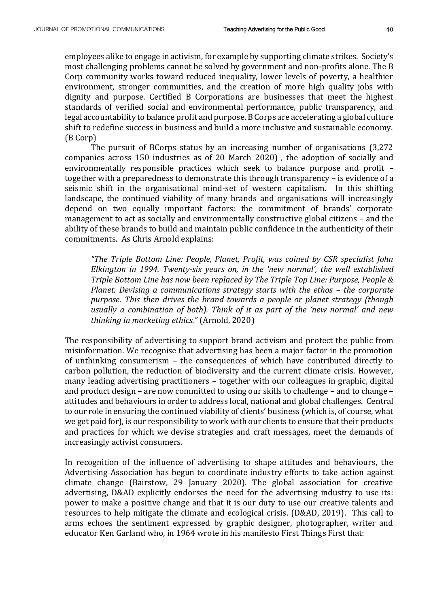employees alike to engage in activism, for example by supporting climate strikes. Society's most challenging problems cannot be solved by government and non-profits alone. The B Corp community works toward reduced inequality, lower levels of poverty, a healthier environment, stronger communities, and the creation of more high quality jobs with dignity and purpose. Certified B Corporations are businesses that meet the highest standards of verified social and environmental performance, public transparency, and legal accountability to balance profit and purpose. B Corps are accelerating a global culture shift to redefine success in business and build a more inclusive and sustainable economy. (B Corp)

The pursuit of BCorps status by an increasing number of organisations (3,272 companies across 150 industries as of 20 March 2020) , the adoption of socially and environmentally responsible practices which seek to balance purpose and profit – together with a preparedness to demonstrate this through transparency – is evidence of a seismic shift in the organisational mind-set of western capitalism. In this shifting landscape, the continued viability of many brands and organisations will increasingly depend on two equally important factors: the commitment of brands' corporate management to act as socially and environmentally constructive global citizens – and the ability of these brands to build and maintain public confidence in the authenticity of their commitments. As Chris Arnold explains:

*"The Triple Bottom Line: People, Planet, Profit, was coined by CSR specialist John Elkington in 1994. Twenty-six years on, in the 'new normal', the well established Triple Bottom Line has now been replaced by The Triple Top Line: Purpose, People & Planet. Devising a communications strategy starts with the ethos – the corporate purpose. This then drives the brand towards a people or planet strategy (though usually a combination of both). Think of it as part of the 'new normal' and new thinking in marketing ethics."* (Arnold, 2020)

The responsibility of advertising to support brand activism and protect the public from misinformation. We recognise that advertising has been a major factor in the promotion of unthinking consumerism – the consequences of which have contributed directly to carbon pollution, the reduction of biodiversity and the current climate crisis. However, many leading advertising practitioners – together with our colleagues in graphic, digital and product design – are now committed to using our skills to challenge – and to change – attitudes and behaviours in order to address local, national and global challenges. Central to our role in ensuring the continued viability of clients' business (which is, of course, what we get paid for), is our responsibility to work with our clients to ensure that their products and practices for which we devise strategies and craft messages, meet the demands of increasingly activist consumers.

In recognition of the influence of advertising to shape attitudes and behaviours, the Advertising Association has begun to coordinate industry efforts to take action against climate change (Bairstow, 29 January 2020). The global association for creative advertising, D&AD explicitly endorses the need for the advertising industry to use its: power to make a positive change and that it is our duty to use our creative talents and resources to help mitigate the climate and ecological crisis. (D&AD, 2019). This call to arms echoes the sentiment expressed by graphic designer, photographer, writer and educator Ken Garland who, in 1964 wrote in his manifesto First Things First that: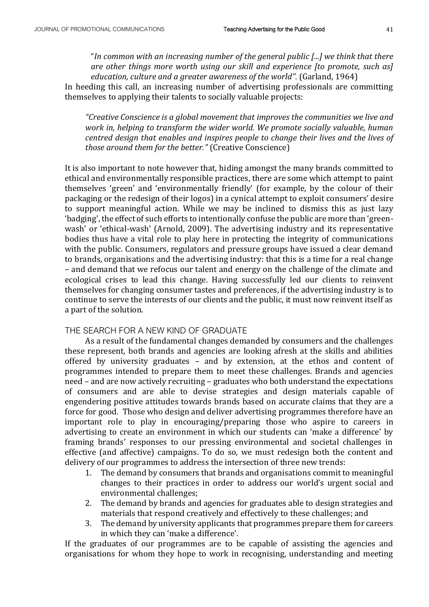"*In common with an increasing number of the general public [...] we think that there are other things more worth using our skill and experience [to promote, such as] education, culture and a greater awareness of the world".* (Garland, 1964)

In heeding this call, an increasing number of advertising professionals are committing themselves to applying their talents to socially valuable projects:

*"Creative Conscience is a global movement that improves the communities we live and work in, helping to transform the wider world. We promote socially valuable, human centred design that enables and inspires people to change their lives and the lives of those around them for the better."* (Creative Conscience)

It is also important to note however that, hiding amongst the many brands committed to ethical and environmentally responsible practices, there are some which attempt to paint themselves 'green' and 'environmentally friendly' (for example, by the colour of their packaging or the redesign of their logos) in a cynical attempt to exploit consumers' desire to support meaningful action. While we may be inclined to dismiss this as just lazy 'badging', the effect of such efforts to intentionally confuse the public are more than 'greenwash' or 'ethical-wash' (Arnold, 2009). The advertising industry and its representative bodies thus have a vital role to play here in protecting the integrity of communications with the public. Consumers, regulators and pressure groups have issued a clear demand to brands, organisations and the advertising industry: that this is a time for a real change – and demand that we refocus our talent and energy on the challenge of the climate and ecological crises to lead this change. Having successfully led our clients to reinvent themselves for changing consumer tastes and preferences, if the advertising industry is to continue to serve the interests of our clients and the public, it must now reinvent itself as a part of the solution.

# THE SEARCH FOR A NEW KIND OF GRADUATE

As a result of the fundamental changes demanded by consumers and the challenges these represent, both brands and agencies are looking afresh at the skills and abilities offered by university graduates – and by extension, at the ethos and content of programmes intended to prepare them to meet these challenges. Brands and agencies need – and are now actively recruiting – graduates who both understand the expectations of consumers and are able to devise strategies and design materials capable of engendering positive attitudes towards brands based on accurate claims that they are a force for good. Those who design and deliver advertising programmes therefore have an important role to play in encouraging/preparing those who aspire to careers in advertising to create an environment in which our students can 'make a difference' by framing brands' responses to our pressing environmental and societal challenges in effective (and affective) campaigns. To do so, we must redesign both the content and delivery of our programmes to address the intersection of three new trends:

- 1. The demand by consumers that brands and organisations commit to meaningful changes to their practices in order to address our world's urgent social and environmental challenges;
- 2. The demand by brands and agencies for graduates able to design strategies and materials that respond creatively and effectively to these challenges; and
- 3. The demand by university applicants that programmes prepare them for careers in which they can 'make a difference'.

If the graduates of our programmes are to be capable of assisting the agencies and organisations for whom they hope to work in recognising, understanding and meeting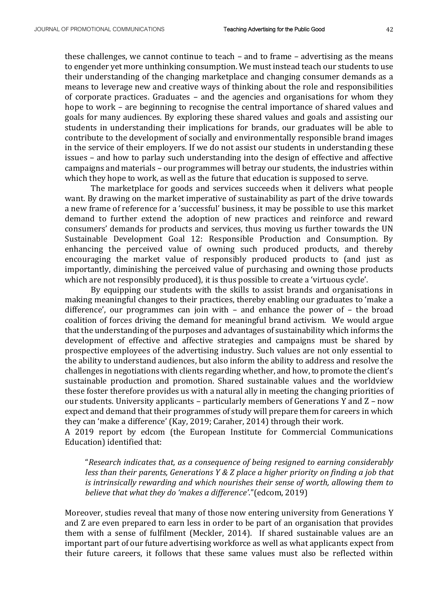these challenges, we cannot continue to teach – and to frame – advertising as the means to engender yet more unthinking consumption. We must instead teach our students to use their understanding of the changing marketplace and changing consumer demands as a means to leverage new and creative ways of thinking about the role and responsibilities of corporate practices. Graduates – and the agencies and organisations for whom they hope to work – are beginning to recognise the central importance of shared values and goals for many audiences. By exploring these shared values and goals and assisting our students in understanding their implications for brands, our graduates will be able to contribute to the development of socially and environmentally responsible brand images in the service of their employers. If we do not assist our students in understanding these issues – and how to parlay such understanding into the design of effective and affective campaigns and materials – our programmes will betray our students, the industries within which they hope to work, as well as the future that education is supposed to serve.

The marketplace for goods and services succeeds when it delivers what people want. By drawing on the market imperative of sustainability as part of the drive towards a new frame of reference for a 'successful' business, it may be possible to use this market demand to further extend the adoption of new practices and reinforce and reward consumers' demands for products and services, thus moving us further towards the UN Sustainable Development Goal 12: Responsible Production and Consumption. By enhancing the perceived value of owning such produced products, and thereby encouraging the market value of responsibly produced products to (and just as importantly, diminishing the perceived value of purchasing and owning those products which are not responsibly produced), it is thus possible to create a 'virtuous cycle'.

By equipping our students with the skills to assist brands and organisations in making meaningful changes to their practices, thereby enabling our graduates to 'make a difference', our programmes can join with – and enhance the power of – the broad coalition of forces driving the demand for meaningful brand activism. We would argue that the understanding of the purposes and advantages of sustainability which informs the development of effective and affective strategies and campaigns must be shared by prospective employees of the advertising industry. Such values are not only essential to the ability to understand audiences, but also inform the ability to address and resolve the challenges in negotiations with clients regarding whether, and how, to promote the client's sustainable production and promotion. Shared sustainable values and the worldview these foster therefore provides us with a natural ally in meeting the changing priorities of our students. University applicants – particularly members of Generations Y and Z – now expect and demand that their programmes of study will prepare them for careers in which they can 'make a difference' (Kay, 2019; Caraher, 2014) through their work.

A 2019 report by edcom (the European Institute for Commercial Communications Education) identified that:

"*Research indicates that, as a consequence of being resigned to earning considerably less than their parents, Generations Y & Z place a higher priority on finding a job that is intrinsically rewarding and which nourishes their sense of worth, allowing them to believe that what they do 'makes a difference'*."(edcom, 2019)

Moreover, studies reveal that many of those now entering university from Generations Y and Z are even prepared to earn less in order to be part of an organisation that provides them with a sense of fulfilment (Meckler, 2014). If shared sustainable values are an important part of our future advertising workforce as well as what applicants expect from their future careers, it follows that these same values must also be reflected within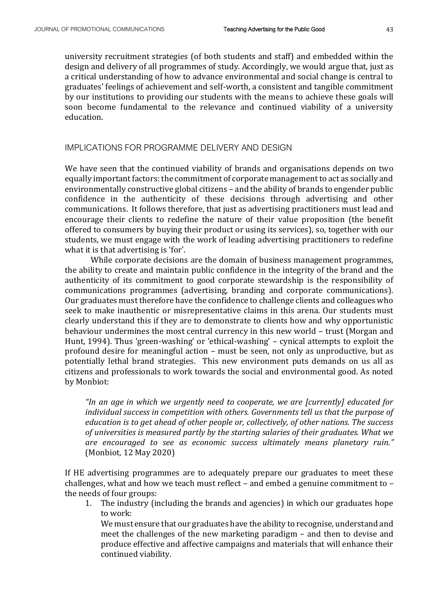university recruitment strategies (of both students and staff) and embedded within the design and delivery of all programmes of study. Accordingly, we would argue that, just as a critical understanding of how to advance environmental and social change is central to graduates' feelings of achievement and self-worth, a consistent and tangible commitment by our institutions to providing our students with the means to achieve these goals will soon become fundamental to the relevance and continued viability of a university education.

# IMPLICATIONS FOR PROGRAMME DELIVERY AND DESIGN

We have seen that the continued viability of brands and organisations depends on two equally important factors: the commitment of corporate management to act as socially and environmentally constructive global citizens – and the ability of brands to engender public confidence in the authenticity of these decisions through advertising and other communications. It follows therefore, that just as advertising practitioners must lead and encourage their clients to redefine the nature of their value proposition (the benefit offered to consumers by buying their product or using its services), so, together with our students, we must engage with the work of leading advertising practitioners to redefine what it is that advertising is 'for'.

While corporate decisions are the domain of business management programmes, the ability to create and maintain public confidence in the integrity of the brand and the authenticity of its commitment to good corporate stewardship is the responsibility of communications programmes (advertising, branding and corporate communications). Our graduates must therefore have the confidence to challenge clients and colleagues who seek to make inauthentic or misrepresentative claims in this arena. Our students must clearly understand this if they are to demonstrate to clients how and why opportunistic behaviour undermines the most central currency in this new world – trust (Morgan and Hunt, 1994). Thus 'green-washing' or 'ethical-washing' – cynical attempts to exploit the profound desire for meaningful action – must be seen, not only as unproductive, but as potentially lethal brand strategies. This new environment puts demands on us all as citizens and professionals to work towards the social and environmental good. As noted by Monbiot:

*"In an age in which we urgently need to cooperate, we are [currently] educated for individual success in competition with others. Governments tell us that the purpose of education is to get ahead of other people or, collectively, of other nations. The success of universities is measured partly by the starting salaries of their graduates. What we are encouraged to see as economic success ultimately means planetary ruin."* (Monbiot, 12 May 2020)

If HE advertising programmes are to adequately prepare our graduates to meet these challenges, what and how we teach must reflect – and embed a genuine commitment to – the needs of four groups:

1. The industry (including the brands and agencies) in which our graduates hope to work:

We must ensure that our graduates have the ability to recognise, understand and meet the challenges of the new marketing paradigm – and then to devise and produce effective and affective campaigns and materials that will enhance their continued viability.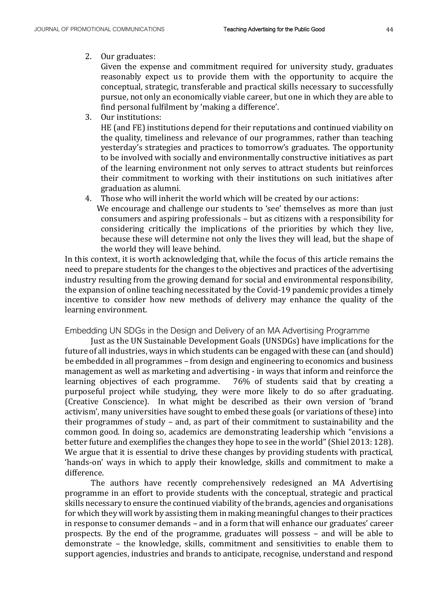2. Our graduates:

Given the expense and commitment required for university study, graduates reasonably expect us to provide them with the opportunity to acquire the conceptual, strategic, transferable and practical skills necessary to successfully pursue, not only an economically viable career, but one in which they are able to find personal fulfilment by 'making a difference'.

3. Our institutions:

HE (and FE) institutions depend for their reputations and continued viability on the quality, timeliness and relevance of our programmes, rather than teaching yesterday's strategies and practices to tomorrow's graduates. The opportunity to be involved with socially and environmentally constructive initiatives as part of the learning environment not only serves to attract students but reinforces their commitment to working with their institutions on such initiatives after graduation as alumni.

4. Those who will inherit the world which will be created by our actions:

 We encourage and challenge our students to 'see' themselves as more than just consumers and aspiring professionals – but as citizens with a responsibility for considering critically the implications of the priorities by which they live, because these will determine not only the lives they will lead, but the shape of the world they will leave behind.

In this context, it is worth acknowledging that, while the focus of this article remains the need to prepare students for the changes to the objectives and practices of the advertising industry resulting from the growing demand for social and environmental responsibility, the expansion of online teaching necessitated by the Covid-19 pandemic provides a timely incentive to consider how new methods of delivery may enhance the quality of the learning environment.

Embedding UN SDGs in the Design and Delivery of an MA Advertising Programme

Just as the UN Sustainable Development Goals (UNSDGs) have implications for the future of all industries, ways in which students can be engaged with these can (and should) be embedded in all programmes – from design and engineering to economics and business management as well as marketing and advertising - in ways that inform and reinforce the learning objectives of each programme. 76% of students said that by creating a purposeful project while studying, they were more likely to do so after graduating. (Creative Conscience). In what might be described as their own version of 'brand activism', many universities have sought to embed these goals (or variations of these) into their programmes of study – and, as part of their commitment to sustainability and the common good. In doing so, academics are demonstrating leadership which "envisions a better future and exemplifies the changes they hope to see in the world" (Shiel 2013: 128). We argue that it is essential to drive these changes by providing students with practical, 'hands-on' ways in which to apply their knowledge, skills and commitment to make a difference.

The authors have recently comprehensively redesigned an MA Advertising programme in an effort to provide students with the conceptual, strategic and practical skills necessary to ensure the continued viability of the brands, agencies and organisations for which they will work by assisting them in making meaningful changes to their practices in response to consumer demands – and in a form that will enhance our graduates' career prospects. By the end of the programme, graduates will possess – and will be able to demonstrate – the knowledge, skills, commitment and sensitivities to enable them to support agencies, industries and brands to anticipate, recognise, understand and respond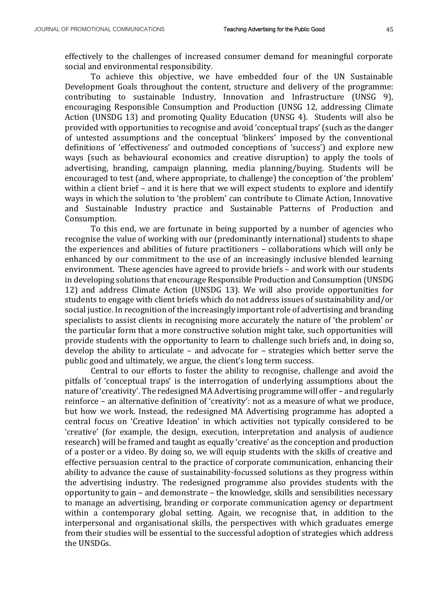effectively to the challenges of increased consumer demand for meaningful corporate social and environmental responsibility.

To achieve this objective, we have embedded four of the UN Sustainable Development Goals throughout the content, structure and delivery of the programme: contributing to sustainable Industry, Innovation and Infrastructure (UNSG 9), encouraging Responsible Consumption and Production (UNSG 12, addressing Climate Action (UNSDG 13) and promoting Quality Education (UNSG 4). Students will also be provided with opportunities to recognise and avoid 'conceptual traps' (such as the danger of untested assumptions and the conceptual 'blinkers' imposed by the conventional definitions of 'effectiveness' and outmoded conceptions of 'success') and explore new ways (such as behavioural economics and creative disruption) to apply the tools of advertising, branding, campaign planning, media planning/buying. Students will be encouraged to test (and, where appropriate, to challenge) the conception of 'the problem' within a client brief – and it is here that we will expect students to explore and identify ways in which the solution to 'the problem' can contribute to Climate Action, Innovative and Sustainable Industry practice and Sustainable Patterns of Production and Consumption.

To this end, we are fortunate in being supported by a number of agencies who recognise the value of working with our (predominantly international) students to shape the experiences and abilities of future practitioners – collaborations which will only be enhanced by our commitment to the use of an increasingly inclusive blended learning environment. These agencies have agreed to provide briefs – and work with our students in developing solutions that encourage Responsible Production and Consumption (UNSDG 12) and address Climate Action (UNSDG 13). We will also provide opportunities for students to engage with client briefs which do not address issues of sustainability and/or social justice. In recognition of the increasingly important role of advertising and branding specialists to assist clients in recognising more accurately the nature of 'the problem' or the particular form that a more constructive solution might take, such opportunities will provide students with the opportunity to learn to challenge such briefs and, in doing so, develop the ability to articulate – and advocate for – strategies which better serve the public good and ultimately, we argue, the client's long term success.

Central to our efforts to foster the ability to recognise, challenge and avoid the pitfalls of 'conceptual traps' is the interrogation of underlying assumptions about the nature of 'creativity'. The redesigned MA Advertising programme will offer – and regularly reinforce – an alternative definition of 'creativity': not as a measure of what we produce, but how we work. Instead, the redesigned MA Advertising programme has adopted a central focus on 'Creative Ideation' in which activities not typically considered to be 'creative' (for example, the design, execution, interpretation and analysis of audience research) will be framed and taught as equally 'creative' as the conception and production of a poster or a video. By doing so, we will equip students with the skills of creative and effective persuasion central to the practice of corporate communication, enhancing their ability to advance the cause of sustainability-focussed solutions as they progress within the advertising industry. The redesigned programme also provides students with the opportunity to gain – and demonstrate – the knowledge, skills and sensibilities necessary to manage an advertising, branding or corporate communication agency or department within a contemporary global setting. Again, we recognise that, in addition to the interpersonal and organisational skills, the perspectives with which graduates emerge from their studies will be essential to the successful adoption of strategies which address the UNSDGs.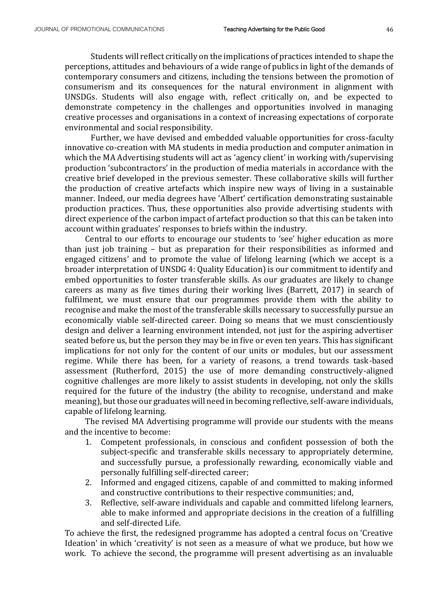Students will reflect critically on the implications of practices intended to shape the perceptions, attitudes and behaviours of a wide range of publics in light of the demands of contemporary consumers and citizens, including the tensions between the promotion of consumerism and its consequences for the natural environment in alignment with UNSDGs. Students will also engage with, reflect critically on, and be expected to demonstrate competency in the challenges and opportunities involved in managing creative processes and organisations in a context of increasing expectations of corporate environmental and social responsibility.

Further, we have devised and embedded valuable opportunities for cross-faculty innovative co-creation with MA students in media production and computer animation in which the MA Advertising students will act as 'agency client' in working with/supervising production 'subcontractors' in the production of media materials in accordance with the creative brief developed in the previous semester. These collaborative skills will further the production of creative artefacts which inspire new ways of living in a sustainable manner. Indeed, our media degrees have 'Albert' certification demonstrating sustainable production practices. Thus, these opportunities also provide advertising students with direct experience of the carbon impact of artefact production so that this can be taken into account within graduates' responses to briefs within the industry.

Central to our efforts to encourage our students to 'see' higher education as more than just job training – but as preparation for their responsibilities as informed and engaged citizens' and to promote the value of lifelong learning (which we accept is a broader interpretation of UNSDG 4: Quality Education) is our commitment to identify and embed opportunities to foster transferable skills. As our graduates are likely to change careers as many as five times during their working lives (Barrett, 2017) in search of fulfilment, we must ensure that our programmes provide them with the ability to recognise and make the most of the transferable skills necessary to successfully pursue an economically viable self-directed career. Doing so means that we must conscientiously design and deliver a learning environment intended, not just for the aspiring advertiser seated before us, but the person they may be in five or even ten years. This has significant implications for not only for the content of our units or modules, but our assessment regime. While there has been, for a variety of reasons, a trend towards task-based assessment (Rutherford, 2015) the use of more demanding constructively-aligned cognitive challenges are more likely to assist students in developing, not only the skills required for the future of the industry (the ability to recognise, understand and make meaning), but those our graduates will need in becoming reflective, self-aware individuals, capable of lifelong learning.

The revised MA Advertising programme will provide our students with the means and the incentive to become:

- 1. Competent professionals, in conscious and confident possession of both the subject-specific and transferable skills necessary to appropriately determine, and successfully pursue, a professionally rewarding, economically viable and personally fulfilling self-directed career;
- 2. Informed and engaged citizens, capable of and committed to making informed and constructive contributions to their respective communities; and,
- 3. Reflective, self-aware individuals and capable and committed lifelong learners, able to make informed and appropriate decisions in the creation of a fulfilling and self-directed Life.

To achieve the first, the redesigned programme has adopted a central focus on 'Creative Ideation' in which 'creativity' is not seen as a measure of what we produce, but how we work. To achieve the second, the programme will present advertising as an invaluable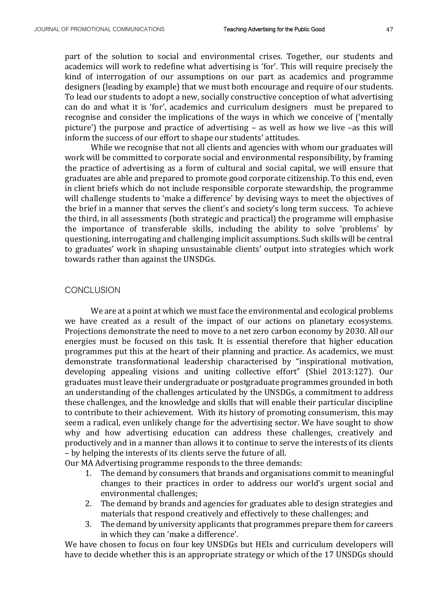part of the solution to social and environmental crises. Together, our students and academics will work to redefine what advertising is 'for'. This will require precisely the kind of interrogation of our assumptions on our part as academics and programme designers (leading by example) that we must both encourage and require of our students. To lead our students to adopt a new, socially constructive conception of what advertising can do and what it is 'for', academics and curriculum designers must be prepared to recognise and consider the implications of the ways in which we conceive of ('mentally picture') the purpose and practice of advertising – as well as how we live –as this will inform the success of our effort to shape our students' attitudes.

While we recognise that not all clients and agencies with whom our graduates will work will be committed to corporate social and environmental responsibility, by framing the practice of advertising as a form of cultural and social capital, we will ensure that graduates are able and prepared to promote good corporate citizenship. To this end, even in client briefs which do not include responsible corporate stewardship, the programme will challenge students to 'make a difference' by devising ways to meet the objectives of the brief in a manner that serves the client's and society's long term success. To achieve the third, in all assessments (both strategic and practical) the programme will emphasise the importance of transferable skills, including the ability to solve 'problems' by questioning, interrogating and challenging implicit assumptions. Such skills will be central to graduates' work in shaping unsustainable clients' output into strategies which work towards rather than against the UNSDGs.

## **CONCLUSION**

We are at a point at which we must face the environmental and ecological problems we have created as a result of the impact of our actions on planetary ecosystems. Projections demonstrate the need to move to a net zero carbon economy by 2030. All our energies must be focused on this task. It is essential therefore that higher education programmes put this at the heart of their planning and practice. As academics, we must demonstrate transformational leadership characterised by "inspirational motivation, developing appealing visions and uniting collective effort" (Shiel 2013:127). Our graduates must leave their undergraduate or postgraduate programmes grounded in both an understanding of the challenges articulated by the UNSDGs, a commitment to address these challenges, and the knowledge and skills that will enable their particular discipline to contribute to their achievement. With its history of promoting consumerism, this may seem a radical, even unlikely change for the advertising sector. We have sought to show why and how advertising education can address these challenges, creatively and productively and in a manner than allows it to continue to serve the interests of its clients – by helping the interests of its clients serve the future of all.

Our MA Advertising programme responds to the three demands:

- 1. The demand by consumers that brands and organisations commit to meaningful changes to their practices in order to address our world's urgent social and environmental challenges;
- 2. The demand by brands and agencies for graduates able to design strategies and materials that respond creatively and effectively to these challenges; and
- 3. The demand by university applicants that programmes prepare them for careers in which they can 'make a difference'.

We have chosen to focus on four key UNSDGs but HEIs and curriculum developers will have to decide whether this is an appropriate strategy or which of the 17 UNSDGs should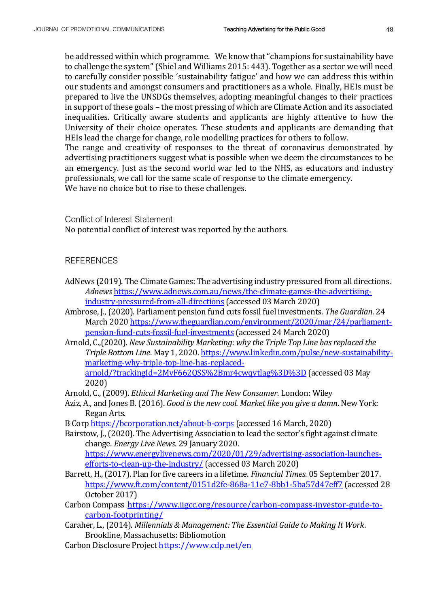be addressed within which programme. We know that "champions for sustainability have to challenge the system" (Shiel and Williams 2015: 443). Together as a sector we will need to carefully consider possible 'sustainability fatigue' and how we can address this within our students and amongst consumers and practitioners as a whole. Finally, HEIs must be prepared to live the UNSDGs themselves, adopting meaningful changes to their practices in support of these goals – the most pressing of which are Climate Action and its associated inequalities. Critically aware students and applicants are highly attentive to how the University of their choice operates. These students and applicants are demanding that HEIs lead the charge for change, role modelling practices for others to follow.

The range and creativity of responses to the threat of coronavirus demonstrated by advertising practitioners suggest what is possible when we deem the circumstances to be an emergency. Just as the second world war led to the NHS, as educators and industry professionals, we call for the same scale of response to the climate emergency.

We have no choice but to rise to these challenges.

Conflict of Interest Statement

No potential conflict of interest was reported by the authors.

# REFERENCES

- AdNews (2019). The Climate Games: The advertising industry pressured from all directions. *Adnews* [https://www.adnews.com.au/news/the-climate-games-the-advertising](https://www.adnews.com.au/news/the-climate-games-the-advertising-industry-pressured-from-all-directions)[industry-pressured-from-all-directions](https://www.adnews.com.au/news/the-climate-games-the-advertising-industry-pressured-from-all-directions) (accessed 03 March 2020)
- Ambrose, J., (2020). Parliament pension fund cuts fossil fuel investments. *The Guardian*. 24 March 202[0 https://www.theguardian.com/environment/2020/mar/24/parliament](https://www.theguardian.com/environment/2020/mar/24/parliament-pension-fund-cuts-fossil-fuel-investments)[pension-fund-cuts-fossil-fuel-investments](https://www.theguardian.com/environment/2020/mar/24/parliament-pension-fund-cuts-fossil-fuel-investments) (accessed 24 March 2020)
- Arnold, C.,(2020). *New Sustainability Marketing: why the Triple Top Line has replaced the Triple Bottom Line*. May 1, 2020[. https://www.linkedin.com/pulse/new-sustainability](https://www.linkedin.com/pulse/new-sustainability-marketing-why-triple-top-line-has-replaced-arnold/?trackingId=2MvF662QSS%2Bmr4cwqvtlag%3D%3D)[marketing-why-triple-top-line-has-replaced](https://www.linkedin.com/pulse/new-sustainability-marketing-why-triple-top-line-has-replaced-arnold/?trackingId=2MvF662QSS%2Bmr4cwqvtlag%3D%3D)[arnold/?trackingId=2MvF662QSS%2Bmr4cwqvtlag%3D%3D](https://www.linkedin.com/pulse/new-sustainability-marketing-why-triple-top-line-has-replaced-arnold/?trackingId=2MvF662QSS%2Bmr4cwqvtlag%3D%3D) (accessed 03 May 2020)
- Arnold, C.,(2009). *Ethical Marketing and The New Consumer*. London: Wiley
- Aziz, A., and Jones B. (2016). *Good is the new cool. Market like you give a damn*. New York: Regan Arts.
- B Corp<https://bcorporation.net/about-b-corps> (accessed 16 March, 2020)
- Bairstow, J., (2020). The Advertising Association to lead the sector's fight against climate change. *Energy Live News*. 29 January 2020. [https://www.energylivenews.com/2020/01/29/advertising-association-launches](https://www.energylivenews.com/2020/01/29/advertising-association-launches-efforts-to-clean-up-the-industry/)[efforts-to-clean-up-the-industry/](https://www.energylivenews.com/2020/01/29/advertising-association-launches-efforts-to-clean-up-the-industry/) (accessed 03 March 2020)
- Barrett, H.,(2017). Plan for five careers in a lifetime. *Financial Times*. 05 September 2017. <https://www.ft.com/content/0151d2fe-868a-11e7-8bb1-5ba57d47eff7> (accessed 28 October 2017)
- Carbon Compass [https://www.iigcc.org/resource/carbon-compass-investor-guide-to](https://www.iigcc.org/resource/carbon-compass-investor-guide-to-carbon-footprinting/)[carbon-footprinting/](https://www.iigcc.org/resource/carbon-compass-investor-guide-to-carbon-footprinting/)
- Caraher, L.,(2014). *Millennials & Management: The Essential Guide to Making It Work*. Brookline, Massachusetts: Bibliomotion
- Carbon Disclosure Project <https://www.cdp.net/en>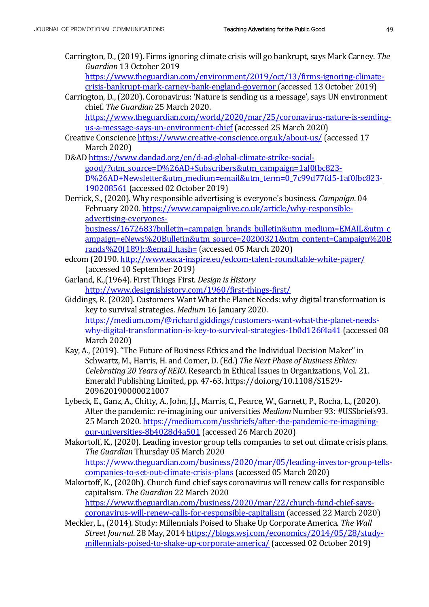Carrington, D.,(2019). Firms ignoring climate crisis will go bankrupt, says Mark Carney. *The Guardian* 13 October 2019 [https://www.theguardian.com/environment/2019/oct/13/firms-ignoring-climate-](https://www.theguardian.com/environment/2019/oct/13/firms-ignoring-climate-crisis-bankrupt-mark-carney-bank-england-governor)

[crisis-bankrupt-mark-carney-bank-england-governor](https://www.theguardian.com/environment/2019/oct/13/firms-ignoring-climate-crisis-bankrupt-mark-carney-bank-england-governor) (accessed 13 October 2019)

Carrington, D.,(2020). Coronavirus: 'Nature is sending us a message', says UN environment chief. *The Guardian* 25 March 2020. [https://www.theguardian.com/world/2020/mar/25/coronavirus-nature-is-sending-](https://www.theguardian.com/world/2020/mar/25/coronavirus-nature-is-sending-us-a-message-says-un-environment-chief)

[us-a-message-says-un-environment-chief](https://www.theguardian.com/world/2020/mar/25/coronavirus-nature-is-sending-us-a-message-says-un-environment-chief) (accessed 25 March 2020)

- Creative Conscience<https://www.creative-conscience.org.uk/about-us/> (accessed 17 March 2020)
- D&AD [https://www.dandad.org/en/d-ad-global-climate-strike-social](https://www.dandad.org/en/d-ad-global-climate-strike-social-good/?utm_source=D%26AD+Subscribers&utm_campaign=1af0fbc823-D%26AD+Newsletter&utm_medium=email&utm_term=0_7c99d77fd5-1af0fbc823-190208561)[good/?utm\\_source=D%26AD+Subscribers&utm\\_campaign=1af0fbc823-](https://www.dandad.org/en/d-ad-global-climate-strike-social-good/?utm_source=D%26AD+Subscribers&utm_campaign=1af0fbc823-D%26AD+Newsletter&utm_medium=email&utm_term=0_7c99d77fd5-1af0fbc823-190208561) [D%26AD+Newsletter&utm\\_medium=email&utm\\_term=0\\_7c99d77fd5-1af0fbc823-](https://www.dandad.org/en/d-ad-global-climate-strike-social-good/?utm_source=D%26AD+Subscribers&utm_campaign=1af0fbc823-D%26AD+Newsletter&utm_medium=email&utm_term=0_7c99d77fd5-1af0fbc823-190208561) [190208561](https://www.dandad.org/en/d-ad-global-climate-strike-social-good/?utm_source=D%26AD+Subscribers&utm_campaign=1af0fbc823-D%26AD+Newsletter&utm_medium=email&utm_term=0_7c99d77fd5-1af0fbc823-190208561) (accessed 02 October 2019)
- Derrick, S.,(2020). Why responsible advertising is everyone's business. *Campaign*. 04 February 2020. [https://www.campaignlive.co.uk/article/why-responsible](https://www.campaignlive.co.uk/article/why-responsible-advertising-everyones-business/1672683?bulletin=campaign_brands_bulletin&utm_medium=EMAIL&utm_campaign=eNews%20Bulletin&utm_source=20200321&utm_content=Campaign%20Brands%20(189)::&email_hash=)[advertising-everyones-](https://www.campaignlive.co.uk/article/why-responsible-advertising-everyones-business/1672683?bulletin=campaign_brands_bulletin&utm_medium=EMAIL&utm_campaign=eNews%20Bulletin&utm_source=20200321&utm_content=Campaign%20Brands%20(189)::&email_hash=)

[business/1672683?bulletin=campaign\\_brands\\_bulletin&utm\\_medium=EMAIL&utm\\_c](https://www.campaignlive.co.uk/article/why-responsible-advertising-everyones-business/1672683?bulletin=campaign_brands_bulletin&utm_medium=EMAIL&utm_campaign=eNews%20Bulletin&utm_source=20200321&utm_content=Campaign%20Brands%20(189)::&email_hash=) [ampaign=eNews%20Bulletin&utm\\_source=20200321&utm\\_content=Campaign%20B](https://www.campaignlive.co.uk/article/why-responsible-advertising-everyones-business/1672683?bulletin=campaign_brands_bulletin&utm_medium=EMAIL&utm_campaign=eNews%20Bulletin&utm_source=20200321&utm_content=Campaign%20Brands%20(189)::&email_hash=) [rands%20\(189\)::&email\\_hash=](https://www.campaignlive.co.uk/article/why-responsible-advertising-everyones-business/1672683?bulletin=campaign_brands_bulletin&utm_medium=EMAIL&utm_campaign=eNews%20Bulletin&utm_source=20200321&utm_content=Campaign%20Brands%20(189)::&email_hash=) (accessed 05 March 2020)

- edcom (20190.<http://www.eaca-inspire.eu/edcom-talent-roundtable-white-paper/> (accessed 10 September 2019)
- Garland, K.,(1964). First Things First. *Design is History*  <http://www.designishistory.com/1960/first-things-first/>
- Giddings, R. (2020). Customers Want What the Planet Needs: why digital transformation is key to survival strategies. *Medium* 16 January 2020. [https://medium.com/@richard.giddings/customers-want-what-the-planet-needs](https://medium.com/@richard.giddings/customers-want-what-the-planet-needs-why-digital-transformation-is-key-to-survival-strategies-1b0d126f4a41)[why-digital-transformation-is-key-to-survival-strategies-1b0d126f4a41](https://medium.com/@richard.giddings/customers-want-what-the-planet-needs-why-digital-transformation-is-key-to-survival-strategies-1b0d126f4a41) (accessed 08 March 2020)
- Kay, A., (2019). "The Future of Business Ethics and the Individual Decision Maker" in Schwartz, M., Harris, H. and Comer, D. (Ed.) *The Next Phase of Business Ethics: Celebrating 20 Years of REIO*. Research in Ethical Issues in Organizations, Vol. 21. Emerald Publishing Limited, pp. 47-63. https://doi.org/10.1108/S1529- 209620190000021007
- Lybeck, E., Ganz, A., Chitty, A., John, J.J., Marris, C., Pearce, W., Garnett, P., Rocha, L.,(2020). After the pandemic: re-imagining our universities *Medium* Number 93: #USSbriefs93. 25 March 2020[. https://medium.com/ussbriefs/after-the-pandemic-re-imagining](https://medium.com/ussbriefs/after-the-pandemic-re-imagining-our-universities-8b4028d4a501)[our-universities-8b4028d4a501](https://medium.com/ussbriefs/after-the-pandemic-re-imagining-our-universities-8b4028d4a501) (accessed 26 March 2020)
- Makortoff, K.,(2020). Leading investor group tells companies to set out climate crisis plans. *The Guardian* Thursday 05 March 2020 [https://www.theguardian.com/business/2020/mar/05/leading-investor-group-tells](https://www.theguardian.com/business/2020/mar/05/leading-investor-group-tells-companies-to-set-out-climate-crisis-plans)[companies-to-set-out-climate-crisis-plans](https://www.theguardian.com/business/2020/mar/05/leading-investor-group-tells-companies-to-set-out-climate-crisis-plans) (accessed 05 March 2020)
- Makortoff, K.,(2020b). Church fund chief says coronavirus will renew calls for responsible capitalism. *The Guardian* 22 March 2020 [https://www.theguardian.com/business/2020/mar/22/church-fund-chief-says](https://www.theguardian.com/business/2020/mar/22/church-fund-chief-says-coronavirus-will-renew-calls-for-responsible-capitalism)[coronavirus-will-renew-calls-for-responsible-capitalism](https://www.theguardian.com/business/2020/mar/22/church-fund-chief-says-coronavirus-will-renew-calls-for-responsible-capitalism) (accessed 22 March 2020)
- Meckler, L., (2014). Study: Millennials Poised to Shake Up Corporate America. *The Wall Street Journal*. 28 May, 2014 [https://blogs.wsj.com/economics/2014/05/28/study](https://blogs.wsj.com/economics/2014/05/28/study-millennials-poised-to-shake-up-corporate-america/)[millennials-poised-to-shake-up-corporate-america/](https://blogs.wsj.com/economics/2014/05/28/study-millennials-poised-to-shake-up-corporate-america/) (accessed 02 October 2019)